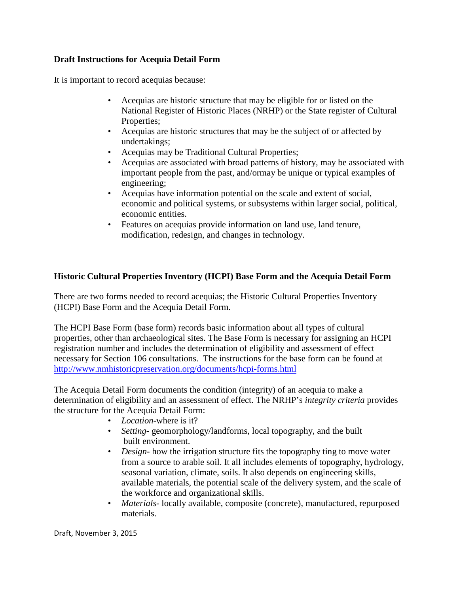## **Draft Instructions for Acequia Detail Form**

It is important to record acequias because:

- Acequias are historic structure that may be eligible for or listed on the National Register of Historic Places (NRHP) or the State register of Cultural Properties;
- Acequias are historic structures that may be the subject of or affected by undertakings;
- Acequias may be Traditional Cultural Properties;
- Acequias are associated with broad patterns of history, may be associated with important people from the past, and/ormay be unique or typical examples of engineering;
- Acequias have information potential on the scale and extent of social, economic and political systems, or subsystems within larger social, political, economic entities.
- Features on acequias provide information on land use, land tenure, modification, redesign, and changes in technology.

# **Historic Cultural Properties Inventory (HCPI) Base Form and the Acequia Detail Form**

There are two forms needed to record acequias; the Historic Cultural Properties Inventory (HCPI) Base Form and the Acequia Detail Form.

The HCPI Base Form (base form) records basic information about all types of cultural properties, other than archaeological sites. The Base Form is necessary for assigning an HCPI registration number and includes the determination of eligibility and assessment of effect necessary for Section 106 consultations. The instructions for the base form can be found at <http://www.nmhistoricpreservation.org/documents/hcpi-forms.html>

The Acequia Detail Form documents the condition (integrity) of an acequia to make a determination of eligibility and an assessment of effect. The NRHP's *integrity criteria* provides the structure for the Acequia Detail Form:

- *Location*-where is it?
- *Setting* geomorphology/landforms, local topography, and the built built environment.
- *Design*-how the irrigation structure fits the topography ting to move water from a source to arable soil. It all includes elements of topography, hydrology, seasonal variation, climate, soils. It also depends on engineering skills, available materials, the potential scale of the delivery system, and the scale of the workforce and organizational skills.
- *Materials* locally available, composite (concrete), manufactured, repurposed materials.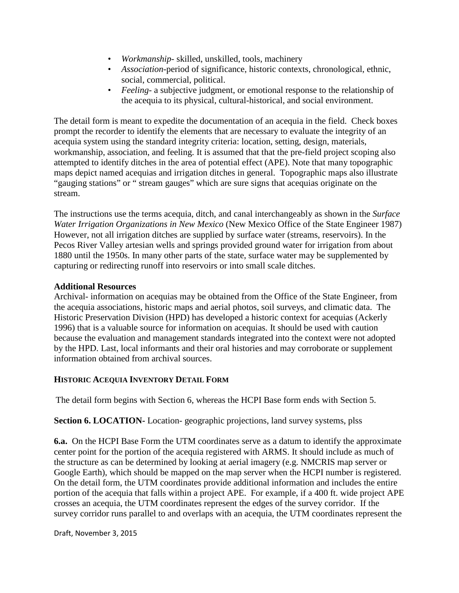- *Workmanship* skilled, unskilled, tools, machinery
- *Association*-period of significance, historic contexts, chronological, ethnic, social, commercial, political.
- *Feeling* a subjective judgment, or emotional response to the relationship of the acequia to its physical, cultural-historical, and social environment.

The detail form is meant to expedite the documentation of an acequia in the field. Check boxes prompt the recorder to identify the elements that are necessary to evaluate the integrity of an acequia system using the standard integrity criteria: location, setting, design, materials, workmanship, association, and feeling. It is assumed that that the pre-field project scoping also attempted to identify ditches in the area of potential effect (APE). Note that many topographic maps depict named acequias and irrigation ditches in general. Topographic maps also illustrate "gauging stations" or " stream gauges" which are sure signs that acequias originate on the stream.

The instructions use the terms acequia, ditch, and canal interchangeably as shown in the *Surface Water Irrigation Organizations in New Mexico* (New Mexico Office of the State Engineer 1987) However, not all irrigation ditches are supplied by surface water (streams, reservoirs). In the Pecos River Valley artesian wells and springs provided ground water for irrigation from about 1880 until the 1950s. In many other parts of the state, surface water may be supplemented by capturing or redirecting runoff into reservoirs or into small scale ditches.

### **Additional Resources**

Archival- information on acequias may be obtained from the Office of the State Engineer, from the acequia associations, historic maps and aerial photos, soil surveys, and climatic data. The Historic Preservation Division (HPD) has developed a historic context for acequias (Ackerly 1996) that is a valuable source for information on acequias. It should be used with caution because the evaluation and management standards integrated into the context were not adopted by the HPD. Last, local informants and their oral histories and may corroborate or supplement information obtained from archival sources.

## **HISTORIC ACEQUIA INVENTORY DETAIL FORM**

The detail form begins with Section 6, whereas the HCPI Base form ends with Section 5.

**Section 6. LOCATION-** Location- geographic projections, land survey systems, plss

**6.a.** On the HCPI Base Form the UTM coordinates serve as a datum to identify the approximate center point for the portion of the acequia registered with ARMS. It should include as much of the structure as can be determined by looking at aerial imagery (e.g. NMCRIS map server or Google Earth), which should be mapped on the map server when the HCPI number is registered. On the detail form, the UTM coordinates provide additional information and includes the entire portion of the acequia that falls within a project APE. For example, if a 400 ft. wide project APE crosses an acequia, the UTM coordinates represent the edges of the survey corridor. If the survey corridor runs parallel to and overlaps with an acequia, the UTM coordinates represent the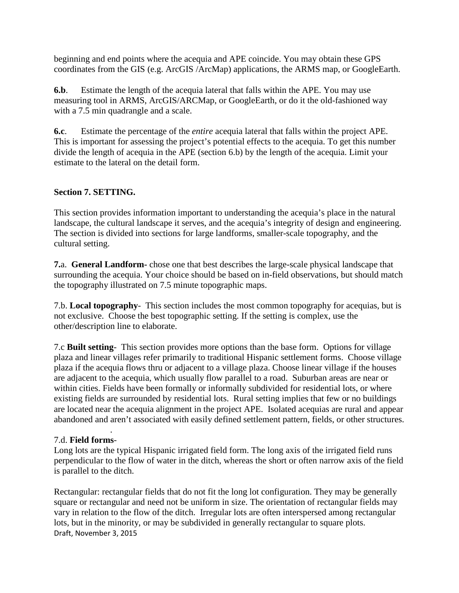beginning and end points where the acequia and APE coincide. You may obtain these GPS coordinates from the GIS (e.g. ArcGIS /ArcMap) applications, the ARMS map, or GoogleEarth.

**6.b**. Estimate the length of the acequia lateral that falls within the APE. You may use measuring tool in ARMS, ArcGIS/ARCMap, or GoogleEarth, or do it the old-fashioned way with a 7.5 min quadrangle and a scale.

**6.c**. Estimate the percentage of the *entire* acequia lateral that falls within the project APE. This is important for assessing the project's potential effects to the acequia. To get this number divide the length of acequia in the APE (section 6.b) by the length of the acequia. Limit your estimate to the lateral on the detail form.

## **Section 7. SETTING.**

This section provides information important to understanding the acequia's place in the natural landscape, the cultural landscape it serves, and the acequia's integrity of design and engineering. The section is divided into sections for large landforms, smaller-scale topography, and the cultural setting.

**7.**a. **General Landform-** chose one that best describes the large-scale physical landscape that surrounding the acequia. Your choice should be based on in-field observations, but should match the topography illustrated on 7.5 minute topographic maps.

7.b. **Local topography**- This section includes the most common topography for acequias, but is not exclusive. Choose the best topographic setting. If the setting is complex, use the other/description line to elaborate.

7.c **Built setting**- This section provides more options than the base form. Options for village plaza and linear villages refer primarily to traditional Hispanic settlement forms. Choose village plaza if the acequia flows thru or adjacent to a village plaza. Choose linear village if the houses are adjacent to the acequia, which usually flow parallel to a road. Suburban areas are near or within cities. Fields have been formally or informally subdivided for residential lots, or where existing fields are surrounded by residential lots. Rural setting implies that few or no buildings are located near the acequia alignment in the project APE. Isolated acequias are rural and appear abandoned and aren't associated with easily defined settlement pattern, fields, or other structures.

#### . 7.d. **Field forms**-

Long lots are the typical Hispanic irrigated field form. The long axis of the irrigated field runs perpendicular to the flow of water in the ditch, whereas the short or often narrow axis of the field is parallel to the ditch.

Draft, November 3, 2015 Rectangular: rectangular fields that do not fit the long lot configuration. They may be generally square or rectangular and need not be uniform in size. The orientation of rectangular fields may vary in relation to the flow of the ditch. Irregular lots are often interspersed among rectangular lots, but in the minority, or may be subdivided in generally rectangular to square plots.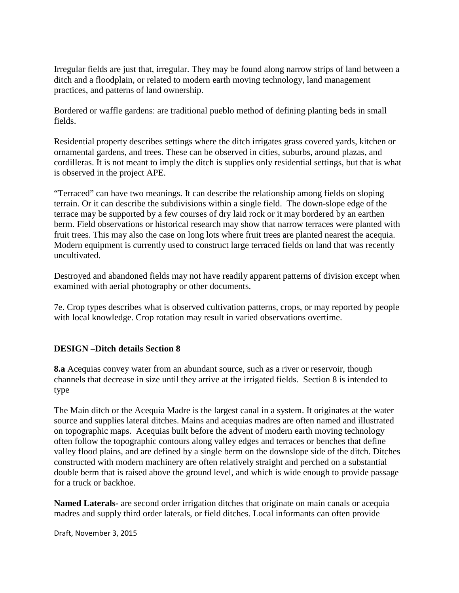Irregular fields are just that, irregular. They may be found along narrow strips of land between a ditch and a floodplain, or related to modern earth moving technology, land management practices, and patterns of land ownership.

Bordered or waffle gardens: are traditional pueblo method of defining planting beds in small fields.

Residential property describes settings where the ditch irrigates grass covered yards, kitchen or ornamental gardens, and trees. These can be observed in cities, suburbs, around plazas, and cordilleras. It is not meant to imply the ditch is supplies only residential settings, but that is what is observed in the project APE.

"Terraced" can have two meanings. It can describe the relationship among fields on sloping terrain. Or it can describe the subdivisions within a single field. The down-slope edge of the terrace may be supported by a few courses of dry laid rock or it may bordered by an earthen berm. Field observations or historical research may show that narrow terraces were planted with fruit trees. This may also the case on long lots where fruit trees are planted nearest the acequia. Modern equipment is currently used to construct large terraced fields on land that was recently uncultivated.

Destroyed and abandoned fields may not have readily apparent patterns of division except when examined with aerial photography or other documents.

7e. Crop types describes what is observed cultivation patterns, crops, or may reported by people with local knowledge. Crop rotation may result in varied observations overtime.

## **DESIGN –Ditch details Section 8**

**8.a** Acequias convey water from an abundant source, such as a river or reservoir, though channels that decrease in size until they arrive at the irrigated fields. Section 8 is intended to type

The Main ditch or the Acequia Madre is the largest canal in a system. It originates at the water source and supplies lateral ditches. Mains and acequias madres are often named and illustrated on topographic maps. Acequias built before the advent of modern earth moving technology often follow the topographic contours along valley edges and terraces or benches that define valley flood plains, and are defined by a single berm on the downslope side of the ditch. Ditches constructed with modern machinery are often relatively straight and perched on a substantial double berm that is raised above the ground level, and which is wide enough to provide passage for a truck or backhoe.

**Named Laterals-** are second order irrigation ditches that originate on main canals or acequia madres and supply third order laterals, or field ditches. Local informants can often provide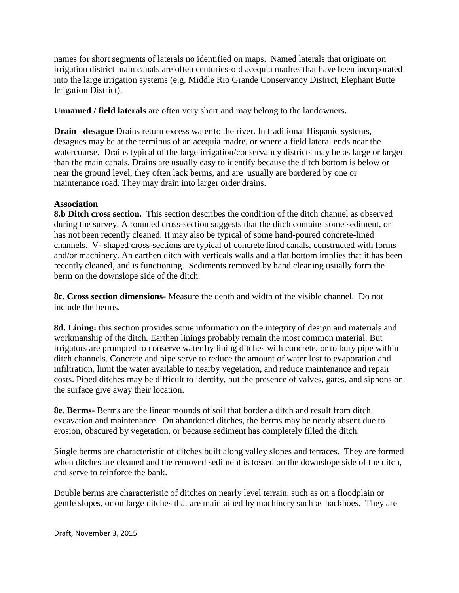names for short segments of laterals no identified on maps. Named laterals that originate on irrigation district main canals are often centuries-old acequia madres that have been incorporated into the large irrigation systems (e.g. Middle Rio Grande Conservancy District, Elephant Butte Irrigation District).

**Unnamed / field laterals** are often very short and may belong to the landowners**.** 

**Drain –desague** Drains return excess water to the river**.** In traditional Hispanic systems, desagues may be at the terminus of an acequia madre, or where a field lateral ends near the watercourse. Drains typical of the large irrigation/conservancy districts may be as large or larger than the main canals. Drains are usually easy to identify because the ditch bottom is below or near the ground level, they often lack berms, and are usually are bordered by one or maintenance road. They may drain into larger order drains.

### **Association**

**8.b Ditch cross section.** This section describes the condition of the ditch channel as observed during the survey. A rounded cross-section suggests that the ditch contains some sediment, or has not been recently cleaned. It may also be typical of some hand-poured concrete-lined channels. V- shaped cross-sections are typical of concrete lined canals, constructed with forms and/or machinery. An earthen ditch with verticals walls and a flat bottom implies that it has been recently cleaned, and is functioning. Sediments removed by hand cleaning usually form the berm on the downslope side of the ditch.

**8c. Cross section dimensions-** Measure the depth and width of the visible channel. Do not include the berms.

**8d. Lining:** this section provides some information on the integrity of design and materials and workmanship of the ditch*.* Earthen linings probably remain the most common material. But irrigators are prompted to conserve water by lining ditches with concrete, or to bury pipe within ditch channels. Concrete and pipe serve to reduce the amount of water lost to evaporation and infiltration, limit the water available to nearby vegetation, and reduce maintenance and repair costs. Piped ditches may be difficult to identify, but the presence of valves, gates, and siphons on the surface give away their location.

**8e. Berms-** Berms are the linear mounds of soil that border a ditch and result from ditch excavation and maintenance. On abandoned ditches, the berms may be nearly absent due to erosion, obscured by vegetation, or because sediment has completely filled the ditch.

Single berms are characteristic of ditches built along valley slopes and terraces. They are formed when ditches are cleaned and the removed sediment is tossed on the downslope side of the ditch, and serve to reinforce the bank.

Double berms are characteristic of ditches on nearly level terrain, such as on a floodplain or gentle slopes, or on large ditches that are maintained by machinery such as backhoes. They are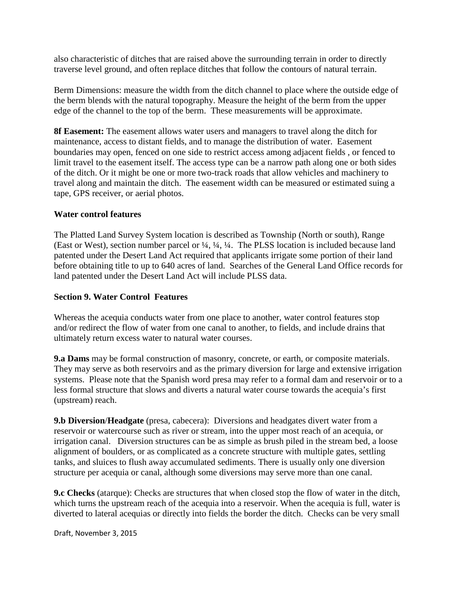also characteristic of ditches that are raised above the surrounding terrain in order to directly traverse level ground, and often replace ditches that follow the contours of natural terrain.

Berm Dimensions: measure the width from the ditch channel to place where the outside edge of the berm blends with the natural topography. Measure the height of the berm from the upper edge of the channel to the top of the berm. These measurements will be approximate.

**8f Easement:** The easement allows water users and managers to travel along the ditch for maintenance, access to distant fields, and to manage the distribution of water. Easement boundaries may open, fenced on one side to restrict access among adjacent fields , or fenced to limit travel to the easement itself. The access type can be a narrow path along one or both sides of the ditch. Or it might be one or more two-track roads that allow vehicles and machinery to travel along and maintain the ditch. The easement width can be measured or estimated suing a tape, GPS receiver, or aerial photos.

### **Water control features**

The Platted Land Survey System location is described as Township (North or south), Range (East or West), section number parcel or ¼, ¼, ¼. The PLSS location is included because land patented under the Desert Land Act required that applicants irrigate some portion of their land before obtaining title to up to 640 acres of land. Searches of the General Land Office records for land patented under the Desert Land Act will include PLSS data.

### **Section 9. Water Control Features**

Whereas the acequia conducts water from one place to another, water control features stop and/or redirect the flow of water from one canal to another, to fields, and include drains that ultimately return excess water to natural water courses.

**9.a Dams** may be formal construction of masonry, concrete, or earth, or composite materials. They may serve as both reservoirs and as the primary diversion for large and extensive irrigation systems. Please note that the Spanish word presa may refer to a formal dam and reservoir or to a less formal structure that slows and diverts a natural water course towards the acequia's first (upstream) reach.

**9.b Diversion**/**Headgate** (presa, cabecera): Diversions and headgates divert water from a reservoir or watercourse such as river or stream, into the upper most reach of an acequia, or irrigation canal. Diversion structures can be as simple as brush piled in the stream bed, a loose alignment of boulders, or as complicated as a concrete structure with multiple gates, settling tanks, and sluices to flush away accumulated sediments. There is usually only one diversion structure per acequia or canal, although some diversions may serve more than one canal.

**9.c Checks** (atarque): Checks are structures that when closed stop the flow of water in the ditch, which turns the upstream reach of the acequia into a reservoir. When the acequia is full, water is diverted to lateral acequias or directly into fields the border the ditch. Checks can be very small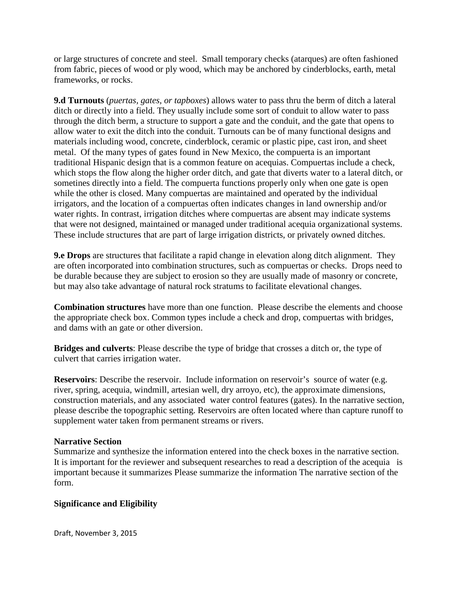or large structures of concrete and steel. Small temporary checks (atarques) are often fashioned from fabric, pieces of wood or ply wood, which may be anchored by cinderblocks, earth, metal frameworks, or rocks.

**9.d Turnouts** (*puertas, gates, or tapboxes*) allows water to pass thru the berm of ditch a lateral ditch or directly into a field. They usually include some sort of conduit to allow water to pass through the ditch berm, a structure to support a gate and the conduit, and the gate that opens to allow water to exit the ditch into the conduit. Turnouts can be of many functional designs and materials including wood, concrete, cinderblock, ceramic or plastic pipe, cast iron, and sheet metal. Of the many types of gates found in New Mexico, the compuerta is an important traditional Hispanic design that is a common feature on acequias. Compuertas include a check, which stops the flow along the higher order ditch, and gate that diverts water to a lateral ditch, or sometines directly into a field. The compuerta functions properly only when one gate is open while the other is closed. Many compuertas are maintained and operated by the individual irrigators, and the location of a compuertas often indicates changes in land ownership and/or water rights. In contrast, irrigation ditches where compuertas are absent may indicate systems that were not designed, maintained or managed under traditional acequia organizational systems. These include structures that are part of large irrigation districts, or privately owned ditches.

**9.e Drops** are structures that facilitate a rapid change in elevation along ditch alignment. They are often incorporated into combination structures, such as compuertas or checks. Drops need to be durable because they are subject to erosion so they are usually made of masonry or concrete, but may also take advantage of natural rock stratums to facilitate elevational changes.

**Combination structures** have more than one function. Please describe the elements and choose the appropriate check box. Common types include a check and drop, compuertas with bridges, and dams with an gate or other diversion.

**Bridges and culverts**: Please describe the type of bridge that crosses a ditch or, the type of culvert that carries irrigation water.

**Reservoirs**: Describe the reservoir. Include information on reservoir's source of water (e.g. river, spring, acequia, windmill, artesian well, dry arroyo, etc), the approximate dimensions, construction materials, and any associated water control features (gates). In the narrative section, please describe the topographic setting. Reservoirs are often located where than capture runoff to supplement water taken from permanent streams or rivers.

### **Narrative Section**

Summarize and synthesize the information entered into the check boxes in the narrative section. It is important for the reviewer and subsequent researches to read a description of the acequia is important because it summarizes Please summarize the information The narrative section of the form.

## **Significance and Eligibility**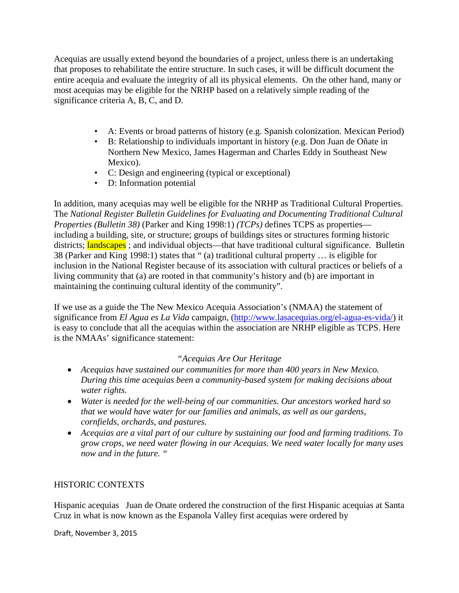Acequias are usually extend beyond the boundaries of a project, unless there is an undertaking that proposes to rehabilitate the entire structure. In such cases, it will be difficult document the entire acequia and evaluate the integrity of all its physical elements. On the other hand, many or most acequias may be eligible for the NRHP based on a relatively simple reading of the significance criteria A, B, C, and D.

- A: Events or broad patterns of history (e.g. Spanish colonization. Mexican Period)
- B: Relationship to individuals important in history (e.g. Don Juan de Oñate in Northern New Mexico, James Hagerman and Charles Eddy in Southeast New Mexico).
- C: Design and engineering (typical or exceptional)
- D: Information potential

In addition, many acequias may well be eligible for the NRHP as Traditional Cultural Properties. The *National Register Bulletin Guidelines for Evaluating and Documenting Traditional Cultural Properties (Bulletin 38)* (Parker and King 1998:1) *(TCPs)* defines TCPS as properties including a building, site, or structure; groups of buildings sites or structures forming historic districts; **landscapes**; and individual objects—that have traditional cultural significance. Bulletin 38 (Parker and King 1998:1) states that " (a) traditional cultural property … is eligible for inclusion in the National Register because of its association with cultural practices or beliefs of a living community that (a) are rooted in that community's history and (b) are important in maintaining the continuing cultural identity of the community".

If we use as a guide the The New Mexico Acequia Association's (NMAA) the statement of significance from *El Agua es La Vida* campaign, [\(http://www.lasacequias.org/el-agua-es-vida/\)](http://www.lasacequias.org/el-agua-es-vida/) it is easy to conclude that all the acequias within the association are NRHP eligible as TCPS. Here is the NMAAs' significance statement:

### *"Acequias Are Our Heritage*

- *Acequias have sustained our communities for more than 400 years in New Mexico. During this time acequias been a community-based system for making decisions about water rights.*
- *Water is needed for the well-being of our communities. Our ancestors worked hard so that we would have water for our families and animals, as well as our gardens, cornfields, orchards, and pastures.*
- *Acequias are a vital part of our culture by sustaining our food and farming traditions. To grow crops, we need water flowing in our Acequias. We need water locally for many uses now and in the future. "*

### HISTORIC CONTEXTS

Hispanic acequias Juan de Onate ordered the construction of the first Hispanic acequias at Santa Cruz in what is now known as the Espanola Valley first acequias were ordered by